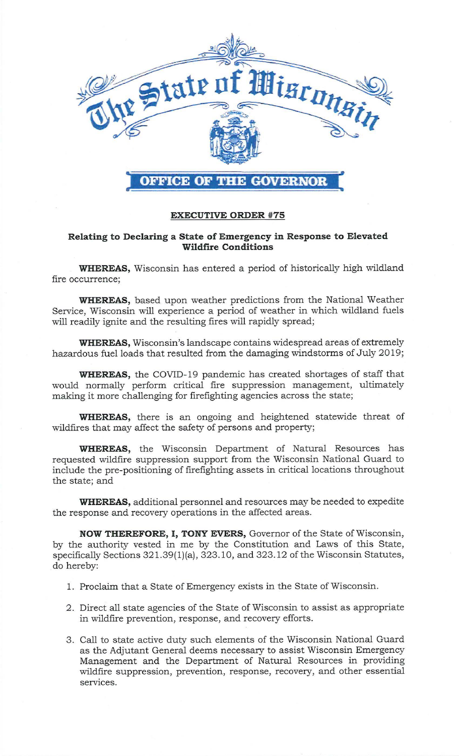

## **EXECUTIVE ORDER #75**

## **Relating to Declaring a State of Emergency in Response to Elevated Wildfire Conditions**

**WHEREAS,** Wisconsin has entered a period of historically high wildland fire occurrence;

**WHEREAS,** based upon weather predictions from the National Weather Service, Wisconsin will experience a period of weather in which wildland fuels will readily ignite and the resulting fires will rapidly spread;

**WHEREAS,** Wisconsin's landscape contains widespread areas of extremely hazardous fuel loads that resulted from the damaging windstorms of July 2019;

**WHEREAS,** the COVID-19 pandemic has created shortages of staff that would normally perform critical fire suppression management, ultimately making it more challenging for firefighting agencies across the state;

**WHEREAS,** there is an ongoing and heightened statewide threat of wildfires that may affect the safety of persons and property;

**WHEREAS,** the Wisconsin Department of Natural Resources has requested wildfire suppression support from the Wisconsin National Guard to include the pre-positioning of firefighting assets in critical locations throughout the state; and

**WHEREAS,** additional personnel and resources may be needed to expedite the response and recovery operations in the affected areas.

**NOW THEREFORE, I, TONY EVERS,** Governor of the State of Wisconsin, by the authority vested in me by the Constitution and Laws of this State, specifically Sections 32 l.39(1)(a), 323.10, and 323.12 of the Wisconsin Statutes, do hereby:

- 1. Proclaim that a State of Emergency exists in the State of Wisconsin.
- 2. Direct all state agencies of the State of Wisconsin to assist as appropriate in wildfire prevention, response, and recovery efforts.
- 3. Call to state active duty such elements of the Wisconsin National Guard as the Adjutant General deems necessary to assist Wisconsin Emergency Management and the Department of Natural Resources in providing wildfire suppression, prevention, response, recovery, and other essential services.